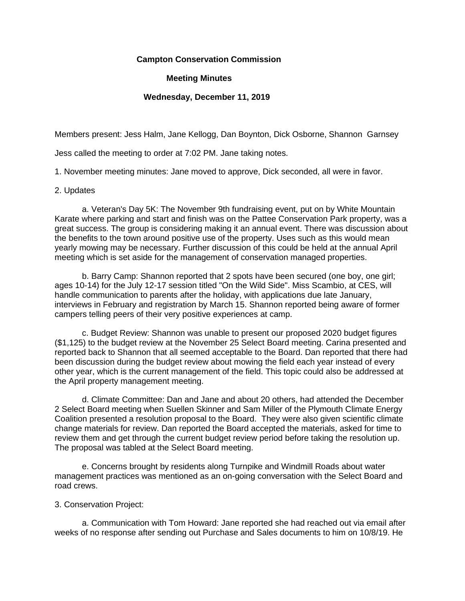# **Campton Conservation Commission**

# **Meeting Minutes**

## **Wednesday, December 11, 2019**

Members present: Jess Halm, Jane Kellogg, Dan Boynton, Dick Osborne, Shannon Garnsey

Jess called the meeting to order at 7:02 PM. Jane taking notes.

1. November meeting minutes: Jane moved to approve, Dick seconded, all were in favor.

### 2. Updates

 a. Veteran's Day 5K: The November 9th fundraising event, put on by White Mountain Karate where parking and start and finish was on the Pattee Conservation Park property, was a great success. The group is considering making it an annual event. There was discussion about the benefits to the town around positive use of the property. Uses such as this would mean yearly mowing may be necessary. Further discussion of this could be held at the annual April meeting which is set aside for the management of conservation managed properties.

 b. Barry Camp: Shannon reported that 2 spots have been secured (one boy, one girl; ages 10-14) for the July 12-17 session titled "On the Wild Side". Miss Scambio, at CES, will handle communication to parents after the holiday, with applications due late January, interviews in February and registration by March 15. Shannon reported being aware of former campers telling peers of their very positive experiences at camp.

 c. Budget Review: Shannon was unable to present our proposed 2020 budget figures (\$1,125) to the budget review at the November 25 Select Board meeting. Carina presented and reported back to Shannon that all seemed acceptable to the Board. Dan reported that there had been discussion during the budget review about mowing the field each year instead of every other year, which is the current management of the field. This topic could also be addressed at the April property management meeting.

 d. Climate Committee: Dan and Jane and about 20 others, had attended the December 2 Select Board meeting when Suellen Skinner and Sam Miller of the Plymouth Climate Energy Coalition presented a resolution proposal to the Board. They were also given scientific climate change materials for review. Dan reported the Board accepted the materials, asked for time to review them and get through the current budget review period before taking the resolution up. The proposal was tabled at the Select Board meeting.

 e. Concerns brought by residents along Turnpike and Windmill Roads about water management practices was mentioned as an on-going conversation with the Select Board and road crews.

### 3. Conservation Project:

 a. Communication with Tom Howard: Jane reported she had reached out via email after weeks of no response after sending out Purchase and Sales documents to him on 10/8/19. He